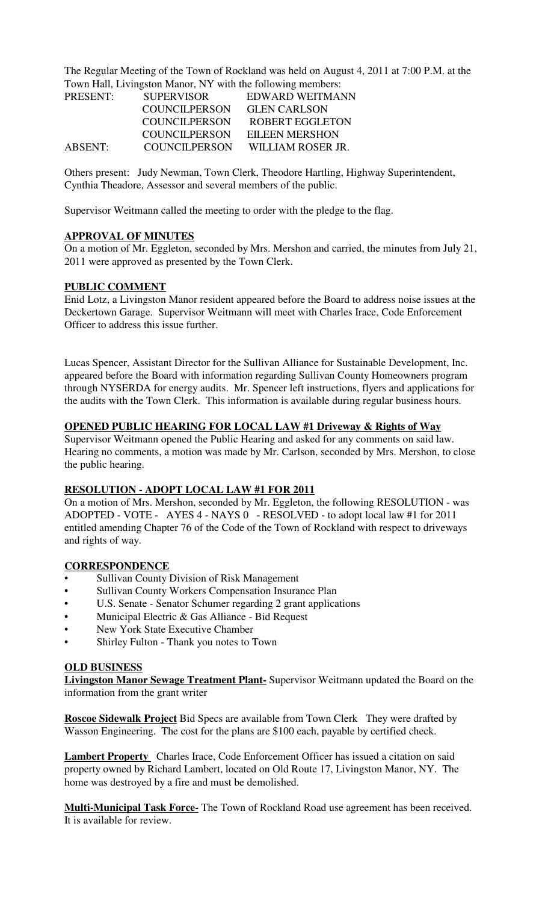The Regular Meeting of the Town of Rockland was held on August 4, 2011 at 7:00 P.M. at the Town Hall, Livingston Manor, NY with the following members:

| PRESENT:       | <b>SUPERVISOR</b>    | EDWARD WEITMANN        |
|----------------|----------------------|------------------------|
|                | COUNCIL PERSON       | <b>GLEN CARLSON</b>    |
|                | <b>COUNCILPERSON</b> | <b>ROBERT EGGLETON</b> |
|                | COUNCIL PERSON       | EILEEN MERSHON         |
| <b>ABSENT:</b> | COUNCILPERSON        | WILLIAM ROSER JR.      |

Others present: Judy Newman, Town Clerk, Theodore Hartling, Highway Superintendent, Cynthia Theadore, Assessor and several members of the public.

Supervisor Weitmann called the meeting to order with the pledge to the flag.

#### **APPROVAL OF MINUTES**

On a motion of Mr. Eggleton, seconded by Mrs. Mershon and carried, the minutes from July 21, 2011 were approved as presented by the Town Clerk.

#### **PUBLIC COMMENT**

Enid Lotz, a Livingston Manor resident appeared before the Board to address noise issues at the Deckertown Garage. Supervisor Weitmann will meet with Charles Irace, Code Enforcement Officer to address this issue further.

Lucas Spencer, Assistant Director for the Sullivan Alliance for Sustainable Development, Inc. appeared before the Board with information regarding Sullivan County Homeowners program through NYSERDA for energy audits. Mr. Spencer left instructions, flyers and applications for the audits with the Town Clerk. This information is available during regular business hours.

#### **OPENED PUBLIC HEARING FOR LOCAL LAW #1 Driveway & Rights of Way**

Supervisor Weitmann opened the Public Hearing and asked for any comments on said law. Hearing no comments, a motion was made by Mr. Carlson, seconded by Mrs. Mershon, to close the public hearing.

#### **RESOLUTION - ADOPT LOCAL LAW #1 FOR 2011**

On a motion of Mrs. Mershon, seconded by Mr. Eggleton, the following RESOLUTION - was ADOPTED - VOTE - AYES 4 - NAYS 0 - RESOLVED - to adopt local law #1 for 2011 entitled amending Chapter 76 of the Code of the Town of Rockland with respect to driveways and rights of way.

#### **CORRESPONDENCE**

- Sullivan County Division of Risk Management
- Sullivan County Workers Compensation Insurance Plan
- U.S. Senate Senator Schumer regarding 2 grant applications
- Municipal Electric & Gas Alliance Bid Request
- New York State Executive Chamber
- Shirley Fulton Thank you notes to Town

#### **OLD BUSINESS**

**Livingston Manor Sewage Treatment Plant-** Supervisor Weitmann updated the Board on the information from the grant writer

**Roscoe Sidewalk Project** Bid Specs are available from Town Clerk They were drafted by Wasson Engineering. The cost for the plans are \$100 each, payable by certified check.

**Lambert Property** Charles Irace, Code Enforcement Officer has issued a citation on said property owned by Richard Lambert, located on Old Route 17, Livingston Manor, NY. The home was destroyed by a fire and must be demolished.

**Multi-Municipal Task Force-** The Town of Rockland Road use agreement has been received. It is available for review.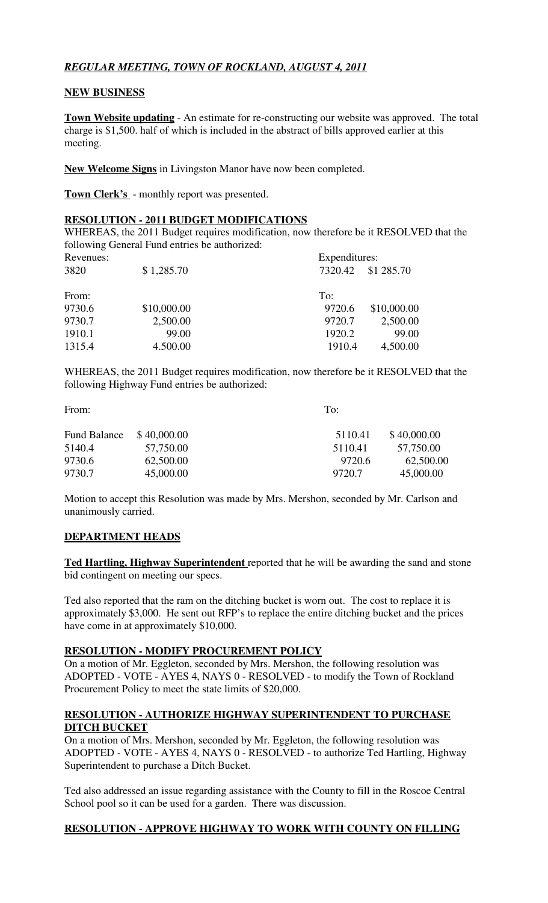# *REGULAR MEETING, TOWN OF ROCKLAND, AUGUST 4, 2011*

### **NEW BUSINESS**

**Town Website updating** - An estimate for re-constructing our website was approved. The total charge is \$1,500. half of which is included in the abstract of bills approved earlier at this meeting.

**New Welcome Signs** in Livingston Manor have now been completed.

**Town Clerk's** - monthly report was presented.

# **RESOLUTION - 2011 BUDGET MODIFICATIONS**

WHEREAS, the 2011 Budget requires modification, now therefore be it RESOLVED that the following General Fund entries be authorized:

| Revenues: |             | Expenditures: |             |
|-----------|-------------|---------------|-------------|
| 3820      | \$1,285.70  | 7320.42       | \$1 285.70  |
| From:     |             | To:           |             |
| 9730.6    | \$10,000.00 | 9720.6        | \$10,000.00 |
| 9730.7    | 2,500.00    | 9720.7        | 2,500.00    |
| 1910.1    | 99.00       | 1920.2        | 99.00       |
| 1315.4    | 4.500.00    | 1910.4        | 4,500.00    |
|           |             |               |             |

WHEREAS, the 2011 Budget requires modification, now therefore be it RESOLVED that the following Highway Fund entries be authorized:

From: To:

| Fund Balance | \$40,000.00 | 5110.41 | \$40,000.00 |
|--------------|-------------|---------|-------------|
| 5140.4       | 57,750.00   | 5110.41 | 57,750.00   |
| 9730.6       | 62,500.00   | 9720.6  | 62,500.00   |
| 9730.7       | 45,000.00   | 9720.7  | 45,000.00   |

Motion to accept this Resolution was made by Mrs. Mershon, seconded by Mr. Carlson and unanimously carried.

# **DEPARTMENT HEADS**

**Ted Hartling, Highway Superintendent** reported that he will be awarding the sand and stone bid contingent on meeting our specs.

Ted also reported that the ram on the ditching bucket is worn out. The cost to replace it is approximately \$3,000. He sent out RFP's to replace the entire ditching bucket and the prices have come in at approximately \$10,000.

#### **RESOLUTION - MODIFY PROCUREMENT POLICY**

On a motion of Mr. Eggleton, seconded by Mrs. Mershon, the following resolution was ADOPTED - VOTE - AYES 4, NAYS 0 - RESOLVED - to modify the Town of Rockland Procurement Policy to meet the state limits of \$20,000.

# **RESOLUTION - AUTHORIZE HIGHWAY SUPERINTENDENT TO PURCHASE DITCH BUCKET**

On a motion of Mrs. Mershon, seconded by Mr. Eggleton, the following resolution was ADOPTED - VOTE - AYES 4, NAYS 0 - RESOLVED - to authorize Ted Hartling, Highway Superintendent to purchase a Ditch Bucket.

Ted also addressed an issue regarding assistance with the County to fill in the Roscoe Central School pool so it can be used for a garden. There was discussion.

# **RESOLUTION - APPROVE HIGHWAY TO WORK WITH COUNTY ON FILLING**